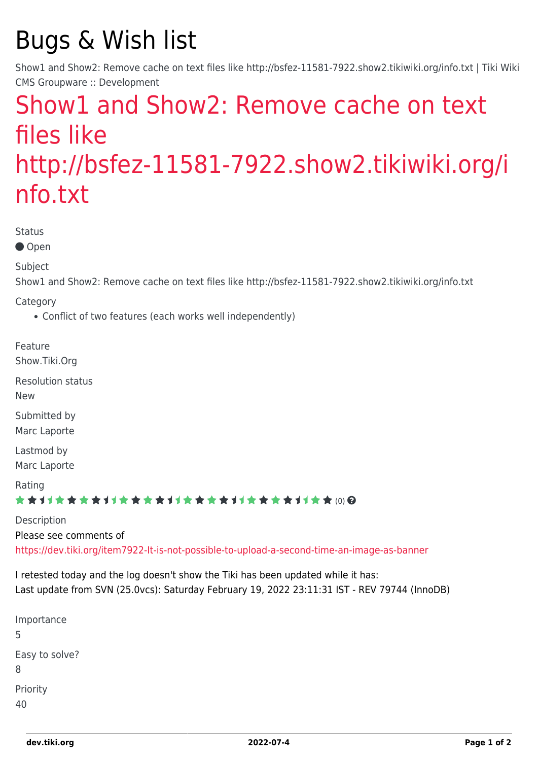# Bugs & Wish list

Show1 and Show2: Remove cache on text files like http://bsfez-11581-7922.show2.tikiwiki.org/info.txt | Tiki Wiki CMS Groupware :: Development

## [Show1 and Show2: Remove cache on text](https://dev.tiki.org/item8031-Show1-and-Show2-Remove-cache-on-text-files-like-http-bsfez-11581-7922-show2-tikiwiki-org-info-txt) [files like](https://dev.tiki.org/item8031-Show1-and-Show2-Remove-cache-on-text-files-like-http-bsfez-11581-7922-show2-tikiwiki-org-info-txt) [http://bsfez-11581-7922.show2.tikiwiki.org/i](https://dev.tiki.org/item8031-Show1-and-Show2-Remove-cache-on-text-files-like-http-bsfez-11581-7922-show2-tikiwiki-org-info-txt) [nfo.txt](https://dev.tiki.org/item8031-Show1-and-Show2-Remove-cache-on-text-files-like-http-bsfez-11581-7922-show2-tikiwiki-org-info-txt)

Status

● Open

Subject

Show1 and Show2: Remove cache on text files like http://bsfez-11581-7922.show2.tikiwiki.org/info.txt

Category

Conflict of two features (each works well independently)

Feature Show.Tiki.Org

Resolution status New

Submitted by

Marc Laporte

Lastmod by Marc Laporte

Rating

#### ★★オオ★★★★オオ★★★★オオ★★★★オオ★★★★オオ★★∞Q

**Description** Please see comments of <https://dev.tiki.org/item7922-It-is-not-possible-to-upload-a-second-time-an-image-as-banner>

I retested today and the log doesn't show the Tiki has been updated while it has: Last update from SVN (25.0vcs): Saturday February 19, 2022 23:11:31 IST - REV 79744 (InnoDB)

Importance 5 Easy to solve? 8 Priority 40